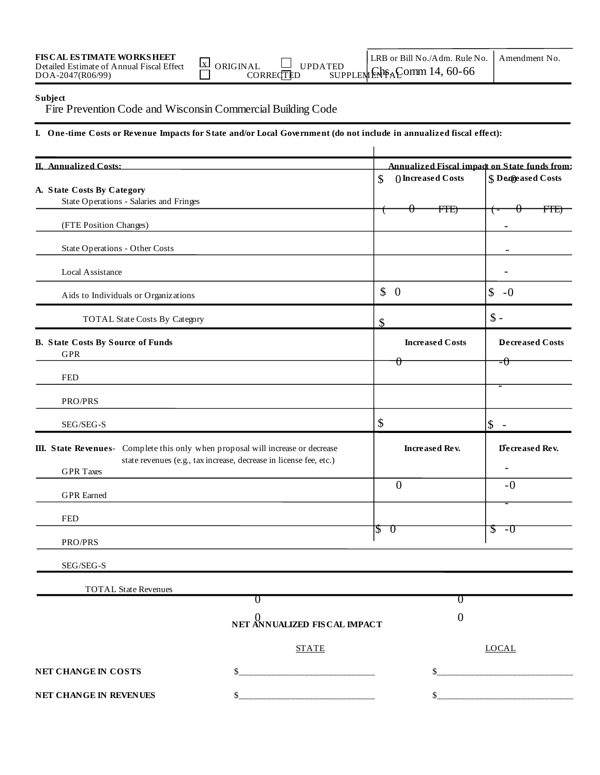|  | <b>FIS CAL ESTIMATE WORKSHEET</b><br>Detailed Estimate of Annual Fiscal Effect<br>DOA-2047(R06/99) | <b>EXP</b> ORIGINAL<br>CORRECTED | LRB or Bill No./Adm. Rule No.<br>I I PD A TED<br>$\frac{1}{\text{SUPPLEMENT}}$ $\frac{1}{\text{EMS}}$ $\frac{1}{\text{GOMM}}$ 14, 60-66 | Amendment No |
|--|----------------------------------------------------------------------------------------------------|----------------------------------|-----------------------------------------------------------------------------------------------------------------------------------------|--------------|
|--|----------------------------------------------------------------------------------------------------|----------------------------------|-----------------------------------------------------------------------------------------------------------------------------------------|--------------|

## **Subject**

Fire Prevention Code and Wisconsin Commercial Building Code

**I. One-time Costs or Revenue Impacts for State and/or Local Government (do not include in annualized fiscal effect):** 

| <b>II. Annualized Costs:</b>                                                    |                                                                                     |                                     | Annualized Fiscal impact on State funds from: |
|---------------------------------------------------------------------------------|-------------------------------------------------------------------------------------|-------------------------------------|-----------------------------------------------|
| A. State Costs By Category                                                      |                                                                                     | () Increased Costs<br>$\mathcal{S}$ | <b>S</b> Decreased Costs                      |
| State Operations - Salaries and Fringes                                         |                                                                                     |                                     |                                               |
| (FTE Position Changes)                                                          |                                                                                     | <b>FTE)</b><br>₩                    | <del>FTE)</del>                               |
| State Operations - Other Costs                                                  |                                                                                     |                                     |                                               |
| Local Assistance                                                                |                                                                                     |                                     |                                               |
| Aids to Individuals or Organizations                                            |                                                                                     | $\updownarrow$ 0                    | \$<br>$-0$                                    |
| <b>TOTAL State Costs By Category</b>                                            |                                                                                     | \$                                  | $\mathsf{\$}$ -                               |
| <b>B.</b> State Costs By Source of Funds<br><b>GPR</b>                          |                                                                                     | <b>Increased Costs</b>              | <b>Decreased Costs</b>                        |
| <b>FED</b>                                                                      |                                                                                     | Ħ                                   | $=\theta$                                     |
| PRO/PRS                                                                         |                                                                                     |                                     | $\overline{\phantom{0}}$                      |
| SEG/SEG-S                                                                       |                                                                                     | \$                                  | $\boldsymbol{\mathsf{S}}$<br>$\overline{a}$   |
| III. State Revenues- Complete this only when proposal will increase or decrease | state revenues (e.g., tax increase, decrease in license fee, etc.)                  | <b>Increased Rev.</b>               | Decreased Rev.                                |
| <b>GPR</b> Taxes                                                                |                                                                                     |                                     |                                               |
| <b>GPR</b> Earned                                                               |                                                                                     | $\overline{0}$                      | $-0$                                          |
| <b>FED</b>                                                                      |                                                                                     |                                     |                                               |
| PRO/PRS                                                                         |                                                                                     | ℸ<br>$\beta$                        | Z.<br>$-0$                                    |
| SEG/SEG-S                                                                       |                                                                                     |                                     |                                               |
| <b>TOTAL State Revenues</b>                                                     |                                                                                     |                                     |                                               |
|                                                                                 | ℧                                                                                   | U                                   |                                               |
|                                                                                 | $\stackrel{\text{\normalsize 0}}{\text{\normalsize NET}}$ ANNUALIZED FIS CAL IMPACT | $\boldsymbol{0}$                    |                                               |
|                                                                                 | <b>STATE</b>                                                                        |                                     | <b>LOCAL</b>                                  |
| NET CHANGE IN COSTS                                                             | \$                                                                                  |                                     |                                               |
| NET CHANGE IN REVENUES                                                          | \$                                                                                  | \$                                  |                                               |